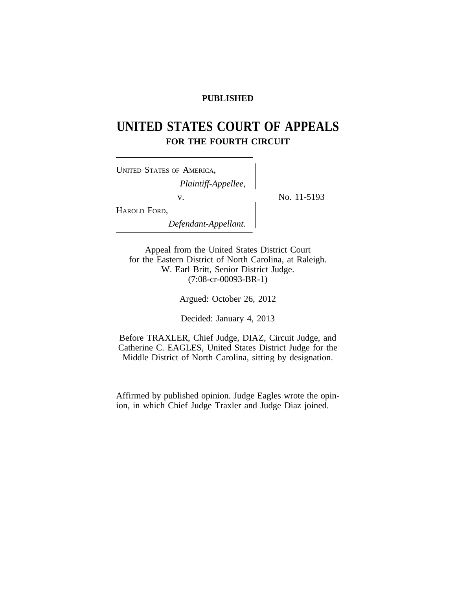# **PUBLISHED**

# **UNITED STATES COURT OF APPEALS FOR THE FOURTH CIRCUIT**

No. 11-5193

| UNITED STATES OF AMERICA, |  |
|---------------------------|--|
| Plaintiff-Appellee,       |  |
| V.                        |  |
| HAROLD FORD,              |  |
| Defendant-Appellant.      |  |

Appeal from the United States District Court for the Eastern District of North Carolina, at Raleigh. W. Earl Britt, Senior District Judge. (7:08-cr-00093-BR-1)

Argued: October 26, 2012

Decided: January 4, 2013

Before TRAXLER, Chief Judge, DIAZ, Circuit Judge, and Catherine C. EAGLES, United States District Judge for the Middle District of North Carolina, sitting by designation.

Affirmed by published opinion. Judge Eagles wrote the opinion, in which Chief Judge Traxler and Judge Diaz joined.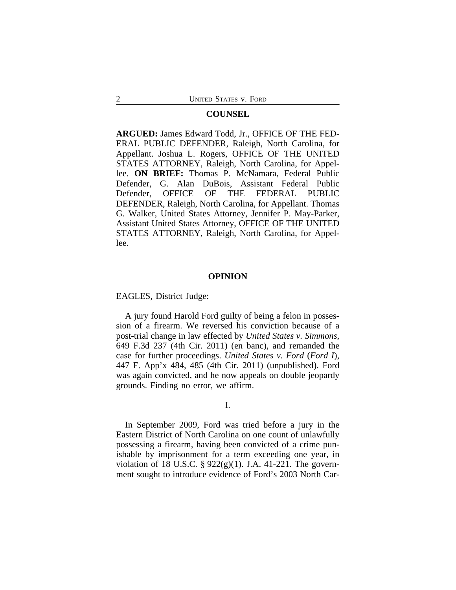## **COUNSEL**

**ARGUED:** James Edward Todd, Jr., OFFICE OF THE FED-ERAL PUBLIC DEFENDER, Raleigh, North Carolina, for Appellant. Joshua L. Rogers, OFFICE OF THE UNITED STATES ATTORNEY, Raleigh, North Carolina, for Appellee. **ON BRIEF:** Thomas P. McNamara, Federal Public Defender, G. Alan DuBois, Assistant Federal Public Defender, OFFICE OF THE FEDERAL PUBLIC DEFENDER, Raleigh, North Carolina, for Appellant. Thomas G. Walker, United States Attorney, Jennifer P. May-Parker, Assistant United States Attorney, OFFICE OF THE UNITED STATES ATTORNEY, Raleigh, North Carolina, for Appellee.

#### **OPINION**

EAGLES, District Judge:

A jury found Harold Ford guilty of being a felon in possession of a firearm. We reversed his conviction because of a post-trial change in law effected by *United States v. Simmons*, 649 F.3d 237 (4th Cir. 2011) (en banc), and remanded the case for further proceedings. *United States v. Ford* (*Ford I*), 447 F. App'x 484, 485 (4th Cir. 2011) (unpublished). Ford was again convicted, and he now appeals on double jeopardy grounds. Finding no error, we affirm.

# I.

In September 2009, Ford was tried before a jury in the Eastern District of North Carolina on one count of unlawfully possessing a firearm, having been convicted of a crime punishable by imprisonment for a term exceeding one year, in violation of 18 U.S.C. § 922(g)(1). J.A. 41-221. The government sought to introduce evidence of Ford's 2003 North Car-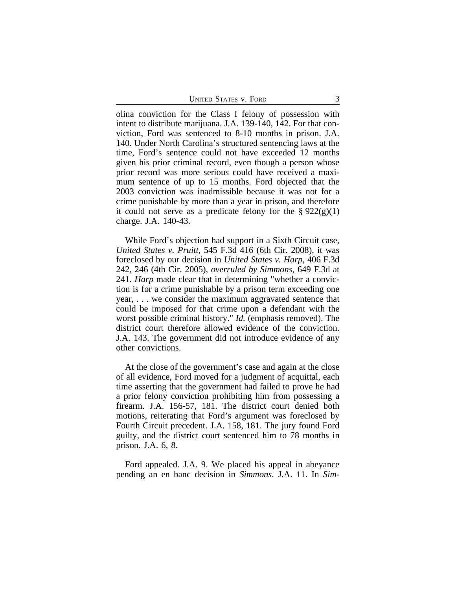UNITED STATES V. FORD 3

olina conviction for the Class I felony of possession with intent to distribute marijuana. J.A. 139-140, 142. For that conviction, Ford was sentenced to 8-10 months in prison. J.A. 140. Under North Carolina's structured sentencing laws at the time, Ford's sentence could not have exceeded 12 months given his prior criminal record, even though a person whose prior record was more serious could have received a maximum sentence of up to 15 months. Ford objected that the 2003 conviction was inadmissible because it was not for a crime punishable by more than a year in prison, and therefore it could not serve as a predicate felony for the  $\S 922(g)(1)$ charge. J.A. 140-43.

While Ford's objection had support in a Sixth Circuit case, *United States v. Pruitt*, 545 F.3d 416 (6th Cir. 2008), it was foreclosed by our decision in *United States v. Harp*, 406 F.3d 242, 246 (4th Cir. 2005), *overruled by Simmons*, 649 F.3d at 241. *Harp* made clear that in determining "whether a conviction is for a crime punishable by a prison term exceeding one year, . . . we consider the maximum aggravated sentence that could be imposed for that crime upon a defendant with the worst possible criminal history." *Id.* (emphasis removed). The district court therefore allowed evidence of the conviction. J.A. 143. The government did not introduce evidence of any other convictions.

At the close of the government's case and again at the close of all evidence, Ford moved for a judgment of acquittal, each time asserting that the government had failed to prove he had a prior felony conviction prohibiting him from possessing a firearm. J.A. 156-57, 181. The district court denied both motions, reiterating that Ford's argument was foreclosed by Fourth Circuit precedent. J.A. 158, 181. The jury found Ford guilty, and the district court sentenced him to 78 months in prison. J.A. 6, 8.

Ford appealed. J.A. 9. We placed his appeal in abeyance pending an en banc decision in *Simmons*. J.A. 11. In *Sim-*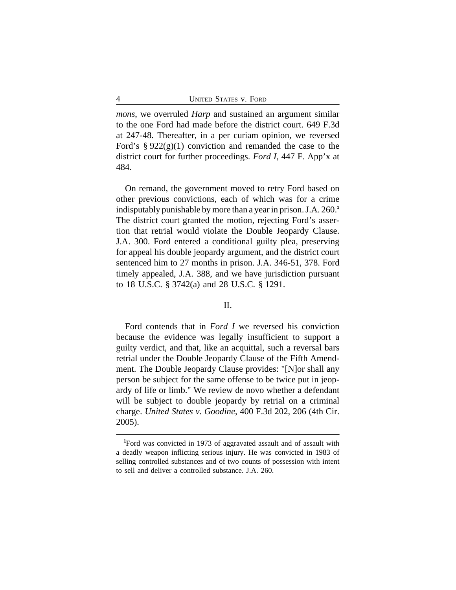*mons*, we overruled *Harp* and sustained an argument similar to the one Ford had made before the district court. 649 F.3d at 247-48. Thereafter, in a per curiam opinion, we reversed Ford's  $\S 922(g)(1)$  conviction and remanded the case to the district court for further proceedings. *Ford I*, 447 F. App'x at 484.

On remand, the government moved to retry Ford based on other previous convictions, each of which was for a crime indisputably punishable by more than a year in prison. J.A. 260.**<sup>1</sup>** The district court granted the motion, rejecting Ford's assertion that retrial would violate the Double Jeopardy Clause. J.A. 300. Ford entered a conditional guilty plea, preserving for appeal his double jeopardy argument, and the district court sentenced him to 27 months in prison. J.A. 346-51, 378. Ford timely appealed, J.A. 388, and we have jurisdiction pursuant to 18 U.S.C. § 3742(a) and 28 U.S.C. § 1291.

# II.

Ford contends that in *Ford I* we reversed his conviction because the evidence was legally insufficient to support a guilty verdict, and that, like an acquittal, such a reversal bars retrial under the Double Jeopardy Clause of the Fifth Amendment. The Double Jeopardy Clause provides: "[N]or shall any person be subject for the same offense to be twice put in jeopardy of life or limb." We review de novo whether a defendant will be subject to double jeopardy by retrial on a criminal charge. *United States v. Goodine*, 400 F.3d 202, 206 (4th Cir. 2005).

**<sup>1</sup>**Ford was convicted in 1973 of aggravated assault and of assault with a deadly weapon inflicting serious injury. He was convicted in 1983 of selling controlled substances and of two counts of possession with intent to sell and deliver a controlled substance. J.A. 260.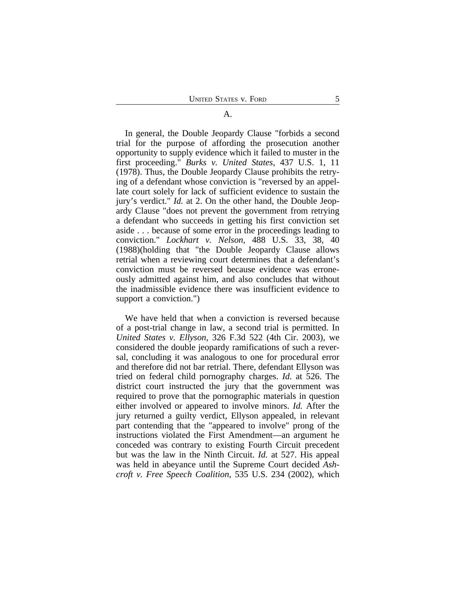#### A.

In general, the Double Jeopardy Clause "forbids a second trial for the purpose of affording the prosecution another opportunity to supply evidence which it failed to muster in the first proceeding." *Burks v. United States*, 437 U.S. 1, 11 (1978). Thus, the Double Jeopardy Clause prohibits the retrying of a defendant whose conviction is "reversed by an appellate court solely for lack of sufficient evidence to sustain the jury's verdict." *Id.* at 2. On the other hand, the Double Jeopardy Clause "does not prevent the government from retrying a defendant who succeeds in getting his first conviction set aside . . . because of some error in the proceedings leading to conviction." *Lockhart v. Nelson*, 488 U.S. 33, 38, 40 (1988)(holding that "the Double Jeopardy Clause allows retrial when a reviewing court determines that a defendant's conviction must be reversed because evidence was erroneously admitted against him, and also concludes that without the inadmissible evidence there was insufficient evidence to support a conviction.")

We have held that when a conviction is reversed because of a post-trial change in law, a second trial is permitted. In *United States v. Ellyson*, 326 F.3d 522 (4th Cir. 2003), we considered the double jeopardy ramifications of such a reversal, concluding it was analogous to one for procedural error and therefore did not bar retrial. There, defendant Ellyson was tried on federal child pornography charges. *Id.* at 526. The district court instructed the jury that the government was required to prove that the pornographic materials in question either involved or appeared to involve minors. *Id.* After the jury returned a guilty verdict, Ellyson appealed, in relevant part contending that the "appeared to involve" prong of the instructions violated the First Amendment—an argument he conceded was contrary to existing Fourth Circuit precedent but was the law in the Ninth Circuit. *Id.* at 527. His appeal was held in abeyance until the Supreme Court decided *Ashcroft v. Free Speech Coalition*, 535 U.S. 234 (2002), which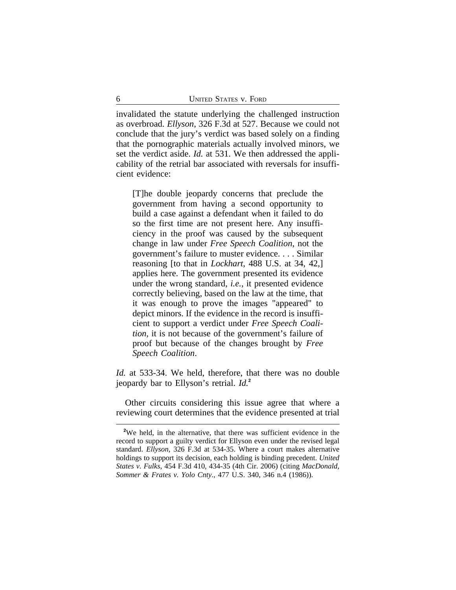invalidated the statute underlying the challenged instruction as overbroad. *Ellyson*, 326 F.3d at 527. Because we could not conclude that the jury's verdict was based solely on a finding that the pornographic materials actually involved minors, we set the verdict aside. *Id.* at 531. We then addressed the applicability of the retrial bar associated with reversals for insufficient evidence:

[T]he double jeopardy concerns that preclude the government from having a second opportunity to build a case against a defendant when it failed to do so the first time are not present here. Any insufficiency in the proof was caused by the subsequent change in law under *Free Speech Coalition*, not the government's failure to muster evidence. . . . Similar reasoning [to that in *Lockhart*, 488 U.S. at 34, 42,] applies here. The government presented its evidence under the wrong standard, *i.e.*, it presented evidence correctly believing, based on the law at the time, that it was enough to prove the images "appeared" to depict minors. If the evidence in the record is insufficient to support a verdict under *Free Speech Coalition*, it is not because of the government's failure of proof but because of the changes brought by *Free Speech Coalition*.

*Id.* at 533-34. We held, therefore, that there was no double jeopardy bar to Ellyson's retrial. *Id.***<sup>2</sup>**

Other circuits considering this issue agree that where a reviewing court determines that the evidence presented at trial

<sup>&</sup>lt;sup>2</sup>We held, in the alternative, that there was sufficient evidence in the record to support a guilty verdict for Ellyson even under the revised legal standard. *Ellyson*, 326 F.3d at 534-35. Where a court makes alternative holdings to support its decision, each holding is binding precedent. *United States v. Fulks*, 454 F.3d 410, 434-35 (4th Cir. 2006) (citing *MacDonald, Sommer & Frates v. Yolo Cnty.*, 477 U.S. 340, 346 n.4 (1986)).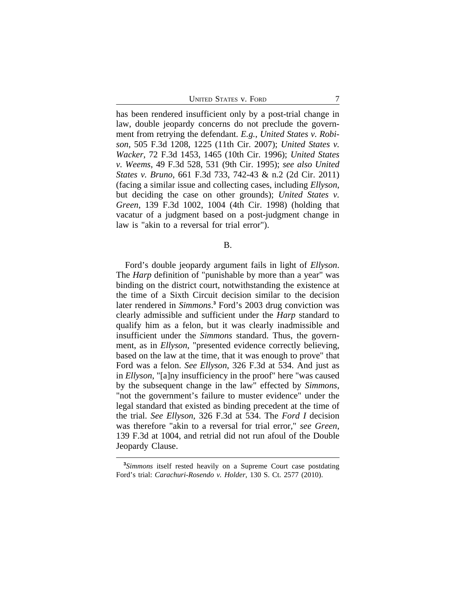UNITED STATES V. FORD 7

has been rendered insufficient only by a post-trial change in law, double jeopardy concerns do not preclude the government from retrying the defendant. *E.g.*, *United States v. Robison*, 505 F.3d 1208, 1225 (11th Cir. 2007); *United States v. Wacker*, 72 F.3d 1453, 1465 (10th Cir. 1996); *United States v. Weems*, 49 F.3d 528, 531 (9th Cir. 1995); *see also United States v. Bruno*, 661 F.3d 733, 742-43 & n.2 (2d Cir. 2011) (facing a similar issue and collecting cases, including *Ellyson*, but deciding the case on other grounds); *United States v. Green*, 139 F.3d 1002, 1004 (4th Cir. 1998) (holding that vacatur of a judgment based on a post-judgment change in law is "akin to a reversal for trial error").

B.

Ford's double jeopardy argument fails in light of *Ellyson*. The *Harp* definition of "punishable by more than a year" was binding on the district court, notwithstanding the existence at the time of a Sixth Circuit decision similar to the decision later rendered in *Simmons*. **3** Ford's 2003 drug conviction was clearly admissible and sufficient under the *Harp* standard to qualify him as a felon, but it was clearly inadmissible and insufficient under the *Simmons* standard. Thus, the government, as in *Ellyson*, "presented evidence correctly believing, based on the law at the time, that it was enough to prove" that Ford was a felon. *See Ellyson*, 326 F.3d at 534. And just as in *Ellyson*, "[a]ny insufficiency in the proof" here "was caused by the subsequent change in the law" effected by *Simmons*, "not the government's failure to muster evidence" under the legal standard that existed as binding precedent at the time of the trial. *See Ellyson*, 326 F.3d at 534. The *Ford I* decision was therefore "akin to a reversal for trial error," *see Green*, 139 F.3d at 1004, and retrial did not run afoul of the Double Jeopardy Clause.

**<sup>3</sup>** *Simmons* itself rested heavily on a Supreme Court case postdating Ford's trial: *Carachuri-Rosendo v. Holder*, 130 S. Ct. 2577 (2010).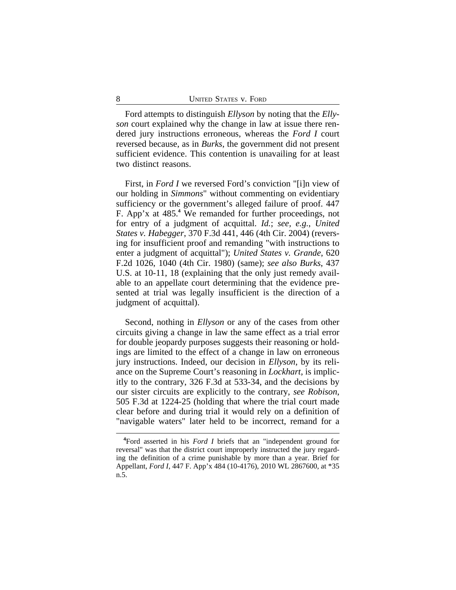Ford attempts to distinguish *Ellyson* by noting that the *Ellyson* court explained why the change in law at issue there rendered jury instructions erroneous, whereas the *Ford I* court reversed because, as in *Burks*, the government did not present sufficient evidence. This contention is unavailing for at least two distinct reasons.

First, in *Ford I* we reversed Ford's conviction "[i]n view of our holding in *Simmons*" without commenting on evidentiary sufficiency or the government's alleged failure of proof. 447 F. App'x at 485.**<sup>4</sup>** We remanded for further proceedings, not for entry of a judgment of acquittal. *Id.*; *see, e.g.*, *United States v. Habegger*, 370 F.3d 441, 446 (4th Cir. 2004) (reversing for insufficient proof and remanding "with instructions to enter a judgment of acquittal"); *United States v. Grande*, 620 F.2d 1026, 1040 (4th Cir. 1980) (same); *see also Burks*, 437 U.S. at 10-11, 18 (explaining that the only just remedy available to an appellate court determining that the evidence presented at trial was legally insufficient is the direction of a judgment of acquittal).

Second, nothing in *Ellyson* or any of the cases from other circuits giving a change in law the same effect as a trial error for double jeopardy purposes suggests their reasoning or holdings are limited to the effect of a change in law on erroneous jury instructions. Indeed, our decision in *Ellyson*, by its reliance on the Supreme Court's reasoning in *Lockhart*, is implicitly to the contrary, 326 F.3d at 533-34, and the decisions by our sister circuits are explicitly to the contrary, *see Robison*, 505 F.3d at 1224-25 (holding that where the trial court made clear before and during trial it would rely on a definition of "navigable waters" later held to be incorrect, remand for a

**<sup>4</sup>**Ford asserted in his *Ford I* briefs that an "independent ground for reversal" was that the district court improperly instructed the jury regarding the definition of a crime punishable by more than a year. Brief for Appellant, *Ford I*, 447 F. App'x 484 (10-4176), 2010 WL 2867600, at \*35 n.5.